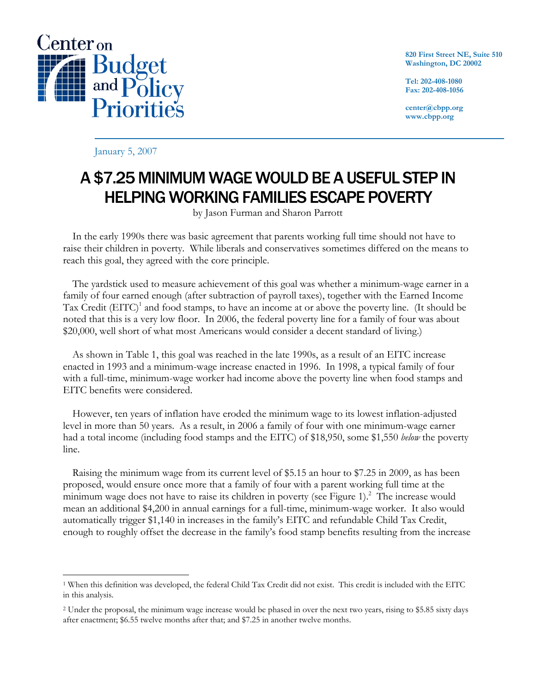

**820 First Street NE, Suite 510 Washington, DC 20002** 

**Tel: 202-408-1080 Fax: 202-408-1056** 

**center@cbpp.org www.cbpp.org** 

January 5, 2007

# A \$7.25 MINIMUM WAGE WOULD BE A USEFUL STEP IN HELPING WORKING FAMILIES ESCAPE POVERTY

by Jason Furman and Sharon Parrott

 In the early 1990s there was basic agreement that parents working full time should not have to raise their children in poverty. While liberals and conservatives sometimes differed on the means to reach this goal, they agreed with the core principle.

 The yardstick used to measure achievement of this goal was whether a minimum-wage earner in a family of four earned enough (after subtraction of payroll taxes), together with the Earned Income Tax Credit  $(EITC)^1$  and food stamps, to have an income at or above the poverty line. (It should be noted that this is a very low floor. In 2006, the federal poverty line for a family of four was about \$20,000, well short of what most Americans would consider a decent standard of living.)

 As shown in Table 1, this goal was reached in the late 1990s, as a result of an EITC increase enacted in 1993 and a minimum-wage increase enacted in 1996. In 1998, a typical family of four with a full-time, minimum-wage worker had income above the poverty line when food stamps and EITC benefits were considered.

 However, ten years of inflation have eroded the minimum wage to its lowest inflation-adjusted level in more than 50 years. As a result, in 2006 a family of four with one minimum-wage earner had a total income (including food stamps and the EITC) of \$18,950, some \$1,550 *below* the poverty line.

 Raising the minimum wage from its current level of \$5.15 an hour to \$7.25 in 2009, as has been proposed, would ensure once more that a family of four with a parent working full time at the minimum wage does not have to raise its children in poverty (see Figure 1). $^2$  The increase would mean an additional \$4,200 in annual earnings for a full-time, minimum-wage worker. It also would automatically trigger \$1,140 in increases in the family's EITC and refundable Child Tax Credit, enough to roughly offset the decrease in the family's food stamp benefits resulting from the increase

 $\overline{a}$ 1 When this definition was developed, the federal Child Tax Credit did not exist. This credit is included with the EITC in this analysis.

<sup>2</sup> Under the proposal, the minimum wage increase would be phased in over the next two years, rising to \$5.85 sixty days after enactment; \$6.55 twelve months after that; and \$7.25 in another twelve months.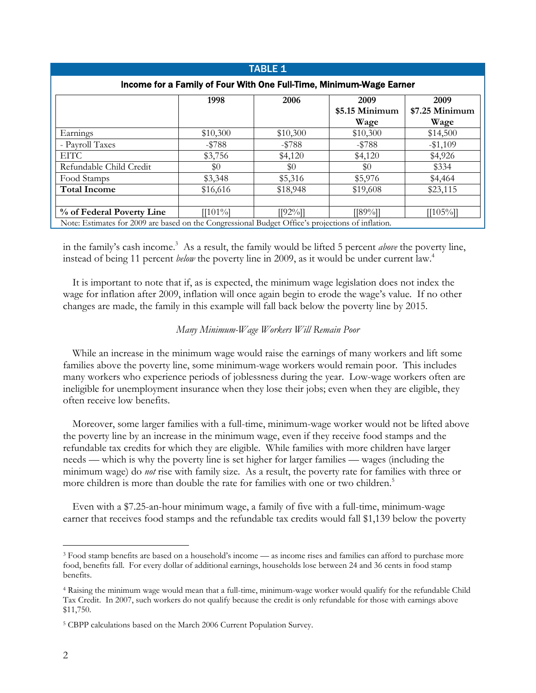| <b>TABLE 1</b>                                                                                    |            |            |                                |                                |
|---------------------------------------------------------------------------------------------------|------------|------------|--------------------------------|--------------------------------|
| Income for a Family of Four With One Full-Time, Minimum-Wage Earner                               |            |            |                                |                                |
|                                                                                                   | 1998       | 2006       | 2009<br>\$5.15 Minimum<br>Wage | 2009<br>\$7.25 Minimum<br>Wage |
| Earnings                                                                                          | \$10,300   | \$10,300   | \$10,300                       | \$14,500                       |
| - Payroll Taxes                                                                                   | $-15788$   | $-$ \$788  | $-$ \$788                      | $-$1,109$                      |
| EITC.                                                                                             | \$3,756    | \$4,120    | \$4,120                        | \$4,926                        |
| Refundable Child Credit                                                                           | \$0        | \$0        | $\$0$                          | \$334                          |
| Food Stamps                                                                                       | \$3,348    | \$5,316    | \$5,976                        | \$4,464                        |
| <b>Total Income</b>                                                                               | \$16,616   | \$18,948   | \$19,608                       | \$23,115                       |
| % of Federal Poverty Line                                                                         | $[[101\%]$ | $[[92\%]]$ | $[[89]\%]$                     | $[[105\%]]$                    |
| Note: Estimates for 2009 are based on the Congressional Budget Office's projections of inflation. |            |            |                                |                                |

in the family's cash income.<sup>3</sup> As a result, the family would be lifted 5 percent *above* the poverty line, instead of being 11 percent *below* the poverty line in 2009, as it would be under current law.4

It is important to note that if, as is expected, the minimum wage legislation does not index the wage for inflation after 2009, inflation will once again begin to erode the wage's value. If no other changes are made, the family in this example will fall back below the poverty line by 2015.

# *Many Minimum-Wage Workers Will Remain Poor*

 While an increase in the minimum wage would raise the earnings of many workers and lift some families above the poverty line, some minimum-wage workers would remain poor. This includes many workers who experience periods of joblessness during the year. Low-wage workers often are ineligible for unemployment insurance when they lose their jobs; even when they are eligible, they often receive low benefits.

 Moreover, some larger families with a full-time, minimum-wage worker would not be lifted above the poverty line by an increase in the minimum wage, even if they receive food stamps and the refundable tax credits for which they are eligible. While families with more children have larger needs — which is why the poverty line is set higher for larger families — wages (including the minimum wage) do *not* rise with family size. As a result, the poverty rate for families with three or more children is more than double the rate for families with one or two children.<sup>5</sup>

 Even with a \$7.25-an-hour minimum wage, a family of five with a full-time, minimum-wage earner that receives food stamps and the refundable tax credits would fall \$1,139 below the poverty

 $\overline{a}$ 

<sup>3</sup> Food stamp benefits are based on a household's income — as income rises and families can afford to purchase more food, benefits fall. For every dollar of additional earnings, households lose between 24 and 36 cents in food stamp benefits.

<sup>4</sup> Raising the minimum wage would mean that a full-time, minimum-wage worker would qualify for the refundable Child Tax Credit. In 2007, such workers do not qualify because the credit is only refundable for those with earnings above \$11,750.

<sup>5</sup> CBPP calculations based on the March 2006 Current Population Survey.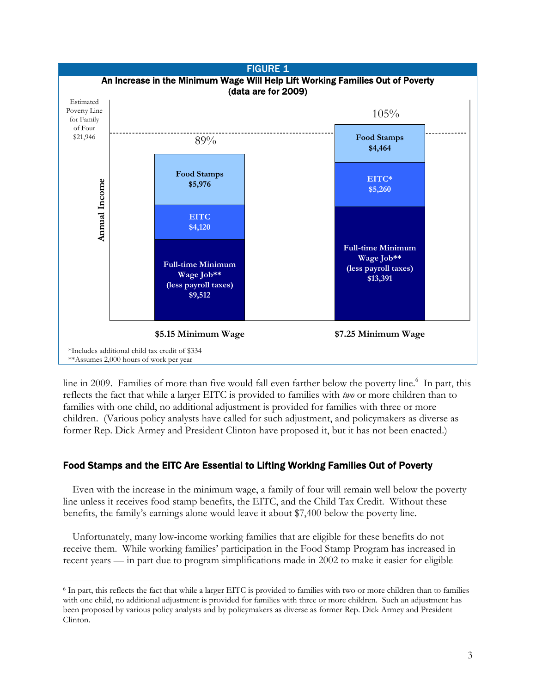

line in 2009. Families of more than five would fall even farther below the poverty line.<sup>6</sup> In part, this reflects the fact that while a larger EITC is provided to families with *two* or more children than to families with one child, no additional adjustment is provided for families with three or more children. (Various policy analysts have called for such adjustment, and policymakers as diverse as former Rep. Dick Armey and President Clinton have proposed it, but it has not been enacted.)

# Food Stamps and the EITC Are Essential to Lifting Working Families Out of Poverty

 Even with the increase in the minimum wage, a family of four will remain well below the poverty line unless it receives food stamp benefits, the EITC, and the Child Tax Credit. Without these benefits, the family's earnings alone would leave it about \$7,400 below the poverty line.

 Unfortunately, many low-income working families that are eligible for these benefits do not receive them. While working families' participation in the Food Stamp Program has increased in recent years — in part due to program simplifications made in 2002 to make it easier for eligible

 $\overline{a}$ 

<sup>6</sup> In part, this reflects the fact that while a larger EITC is provided to families with two or more children than to families with one child, no additional adjustment is provided for families with three or more children. Such an adjustment has been proposed by various policy analysts and by policymakers as diverse as former Rep. Dick Armey and President Clinton.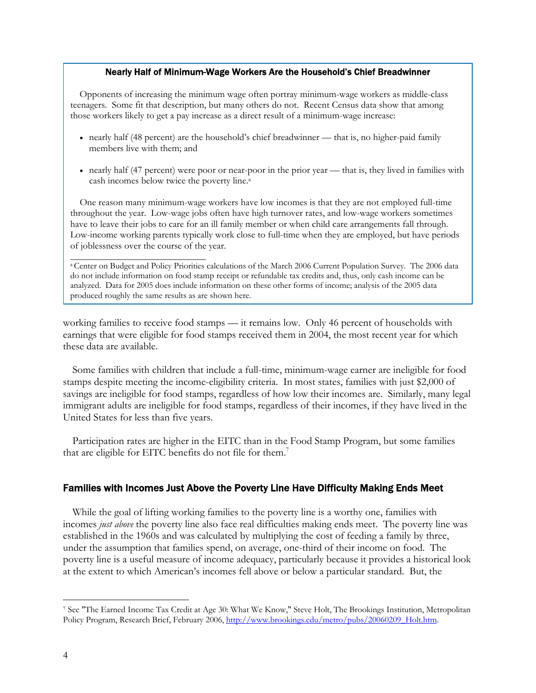#### Nearly Half of Minimum-Wage Workers Are the Household's Chief Breadwinner

 Opponents of increasing the minimum wage often portray minimum-wage workers as middle-class teenagers. Some fit that description, but many others do not. Recent Census data show that among those workers likely to get a pay increase as a direct result of a minimum-wage increase:

- nearly half (48 percent) are the household's chief breadwinner that is, no higher-paid family members live with them; and
- nearly half (47 percent) were poor or near-poor in the prior year that is, they lived in families with cash incomes below twice the poverty line.<sup>a</sup>

One reason many minimum-wage workers have low incomes is that they are not employed full-time throughout the year. Low-wage jobs often have high turnover rates, and low-wage workers sometimes have to leave their jobs to care for an ill family member or when child care arrangements fall through. Low-income working parents typically work close to full-time when they are employed, but have periods of joblessness over the course of the year.

a Center on Budget and Policy Priorities calculations of the March 2006 Current Population Survey. The 2006 data do not include information on food stamp receipt or refundable tax credits and, thus, only cash income can be analyzed. Data for 2005 does include information on these other forms of income; analysis of the 2005 data produced roughly the same results as are shown here.

\_\_\_\_\_\_\_\_\_\_\_\_\_\_\_\_\_\_\_\_\_\_\_\_\_\_\_\_\_\_\_

working families to receive food stamps — it remains low. Only 46 percent of households with earnings that were eligible for food stamps received them in 2004, the most recent year for which these data are available.

 Some families with children that include a full-time, minimum-wage earner are ineligible for food stamps despite meeting the income-eligibility criteria. In most states, families with just \$2,000 of savings are ineligible for food stamps, regardless of how low their incomes are. Similarly, many legal immigrant adults are ineligible for food stamps, regardless of their incomes, if they have lived in the United States for less than five years.

 Participation rates are higher in the EITC than in the Food Stamp Program, but some families that are eligible for EITC benefits do not file for them.<sup>7</sup>

## Families with Incomes Just Above the Poverty Line Have Difficulty Making Ends Meet

 While the goal of lifting working families to the poverty line is a worthy one, families with incomes *just above* the poverty line also face real difficulties making ends meet. The poverty line was established in the 1960s and was calculated by multiplying the cost of feeding a family by three, under the assumption that families spend, on average, one-third of their income on food. The poverty line is a useful measure of income adequacy, particularly because it provides a historical look at the extent to which American's incomes fell above or below a particular standard. But, the

-

<sup>7</sup> See "The Earned Income Tax Credit at Age 30: What We Know," Steve Holt, The Brookings Institution, Metropolitan Policy Program, Research Brief, February 2006, http://www.brookings.edu/metro/pubs/20060209\_Holt.htm.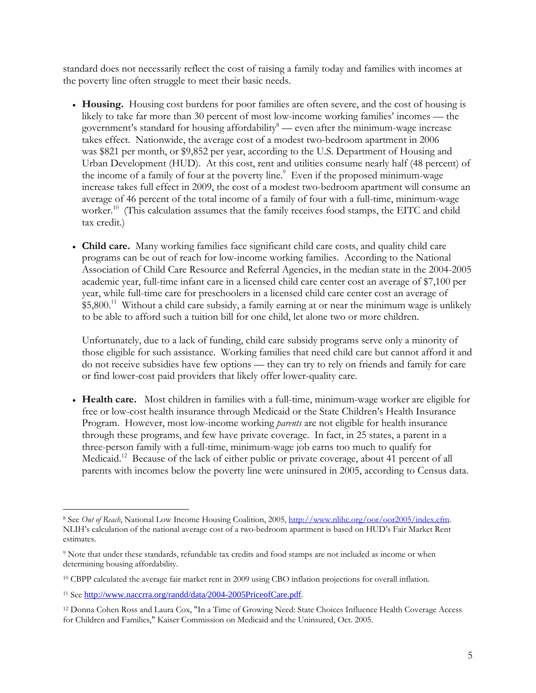standard does not necessarily reflect the cost of raising a family today and families with incomes at the poverty line often struggle to meet their basic needs.

- **Housing.** Housing cost burdens for poor families are often severe, and the cost of housing is likely to take far more than 30 percent of most low-income working families' incomes — the government's standard for housing affordability $\delta$  — even after the minimum-wage increase takes effect. Nationwide, the average cost of a modest two-bedroom apartment in 2006 was \$821 per month, or \$9,852 per year, according to the U.S. Department of Housing and Urban Development (HUD). At this cost, rent and utilities consume nearly half (48 percent) of the income of a family of four at the poverty line.<sup>9</sup> Even if the proposed minimum-wage increase takes full effect in 2009, the cost of a modest two-bedroom apartment will consume an average of 46 percent of the total income of a family of four with a full-time, minimum-wage worker.<sup>10</sup> (This calculation assumes that the family receives food stamps, the EITC and child tax credit.)
- **Child care.** Many working families face significant child care costs, and quality child care programs can be out of reach for low-income working families. According to the National Association of Child Care Resource and Referral Agencies, in the median state in the 2004-2005 academic year, full-time infant care in a licensed child care center cost an average of \$7,100 per year, while full-time care for preschoolers in a licensed child care center cost an average of  $$5,800<sup>11</sup>$  Without a child care subsidy, a family earning at or near the minimum wage is unlikely to be able to afford such a tuition bill for one child, let alone two or more children.

Unfortunately, due to a lack of funding, child care subsidy programs serve only a minority of those eligible for such assistance. Working families that need child care but cannot afford it and do not receive subsidies have few options — they can try to rely on friends and family for care or find lower-cost paid providers that likely offer lower-quality care.

• **Health care.** Most children in families with a full-time, minimum-wage worker are eligible for free or low-cost health insurance through Medicaid or the State Children's Health Insurance Program. However, most low-income working *parents* are not eligible for health insurance through these programs, and few have private coverage. In fact, in 25 states, a parent in a three-person family with a full-time, minimum-wage job earns too much to qualify for Medicaid.<sup>12</sup> Because of the lack of either public or private coverage, about 41 percent of all parents with incomes below the poverty line were uninsured in 2005, according to Census data.

-

<sup>8</sup> See *Out of Reach*, National Low Income Housing Coalition, 2005, http://www.nlihc.org/oor/oor2005/index.cfm. NLIH's calculation of the national average cost of a two-bedroom apartment is based on HUD's Fair Market Rent estimates.

<sup>9</sup> Note that under these standards, refundable tax credits and food stamps are not included as income or when determining housing affordability.

<sup>10</sup> CBPP calculated the average fair market rent in 2009 using CBO inflation projections for overall inflation.

<sup>11</sup> See http://www.naccrra.org/randd/data/2004-2005PriceofCare.pdf.

<sup>12</sup> Donna Cohen Ross and Laura Cox, "In a Time of Growing Need: State Choices Influence Health Coverage Access for Children and Families," Kaiser Commission on Medicaid and the Uninsured, Oct. 2005.